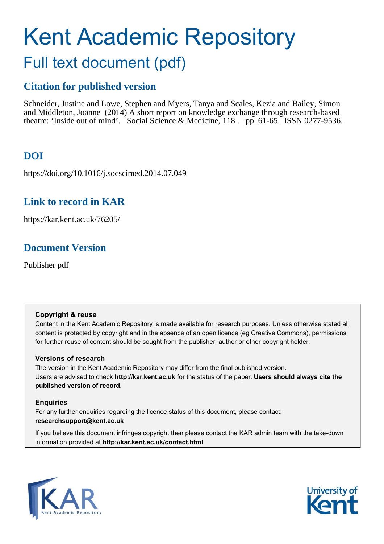# Kent Academic Repository Full text document (pdf)

# **Citation for published version**

Schneider, Justine and Lowe, Stephen and Myers, Tanya and Scales, Kezia and Bailey, Simon and Middleton, Joanne (2014) A short report on knowledge exchange through research-based theatre: 'Inside out of mind'. Social Science & Medicine, 118 . pp. 61-65. ISSN 0277-9536.

# **DOI**

https://doi.org/10.1016/j.socscimed.2014.07.049

## **Link to record in KAR**

https://kar.kent.ac.uk/76205/

# **Document Version**

Publisher pdf

### **Copyright & reuse**

Content in the Kent Academic Repository is made available for research purposes. Unless otherwise stated all content is protected by copyright and in the absence of an open licence (eg Creative Commons), permissions for further reuse of content should be sought from the publisher, author or other copyright holder.

### **Versions of research**

The version in the Kent Academic Repository may differ from the final published version. Users are advised to check **http://kar.kent.ac.uk** for the status of the paper. **Users should always cite the published version of record.**

### **Enquiries**

For any further enquiries regarding the licence status of this document, please contact: **researchsupport@kent.ac.uk**

If you believe this document infringes copyright then please contact the KAR admin team with the take-down information provided at **http://kar.kent.ac.uk/contact.html**



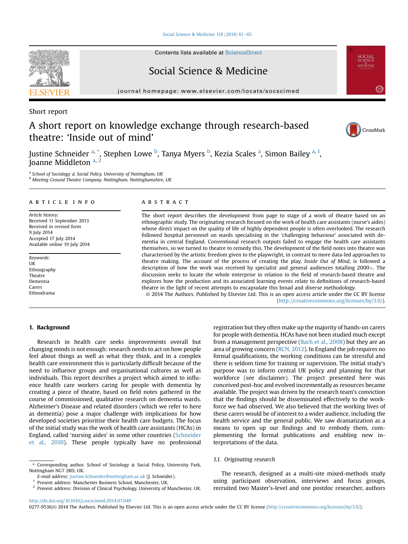[Social Science & Medicine 118 \(2014\) 61](http://dx.doi.org/10.1016/j.socscimed.2014.07.049)-[65](http://dx.doi.org/10.1016/j.socscimed.2014.07.049)

Contents lists available at [ScienceDirect](www.sciencedirect.com/science/journal/02779536)

### Social Science & Medicine

journal homepage: [www.elsevier.com/locate/socscimed](http://www.elsevier.com/locate/socscimed)

### Short report

### A short report on knowledge exchange through research-based theatre: 'Inside out of mind'



<sup>a</sup> School of Sociology & Social Policy, University of Nottingham, UK

<sup>b</sup> Meeting Ground Theatre Company, Nottingham, Nottinghamshire, UK

#### article info

Article history: Received 11 September 2013 Received in revised form 9 July 2014 Accepted 17 July 2014 Available online 19 July 2014

Keywords: UK Ethnography Theatre Dementia Carers Ethnodrama

#### **ABSTRACT**

The short report describes the development from page to stage of a work of theatre based on an ethnographic study. The originating research focused on the work of health care assistants (nurse's aides) whose direct impact on the quality of life of highly dependent people is often overlooked. The research followed hospital personnel on wards specialising in the 'challenging behaviour' associated with dementia in central England. Conventional research outputs failed to engage the health care assistants themselves, so we turned to theatre to remedy this. The development of the field notes into theatre was characterised by the artistic freedom given to the playwright, in contrast to more data-led approaches to theatre making. The account of the process of creating the play, Inside Out of Mind, is followed a description of how the work was received by specialist and general audiences totalling  $2000+$ . The discussion seeks to locate the whole enterprise in relation to the field of research-based theatre and explores how the production and its associated learning events relate to definitions of research-based theatre in the light of recent attempts to encapsulate this broad and diverse methodology.

© 2014 The Authors. Published by Elsevier Ltd. This is an open access article under the CC BY license [\(http://creativecommons.org/licenses/by/3.0/](http://creativecommons.org/licenses/by/3.0/)).

#### 1. Background

Research in health care seeks improvements overall but changing minds is not enough: research needs to act on how people feel about things as well as what they think, and in a complex health care environment this is particularly difficult because of the need to influence groups and organisational cultures as well as individuals. This report describes a project which aimed to influence health care workers caring for people with dementia by creating a piece of theatre, based on field notes gathered in the course of commissioned, qualitative research on dementia wards. Alzheimer's Disease and related disorders (which we refer to here as dementia) pose a major challenge with implications for how developed societies prioritise their health care budgets. The focus of the initial study was the work of health care assistants (HCAs) in England, called 'nursing aides' in some other countries (Schneider et al., 2010). These people typically have no professional

registration but they often make up the majority of hands-on carers for people with dementia. HCAs have not been studied much except from a management perspective (Bach et al., 2008) but they are an area of growing concern (RCN, 2012). In England the job requires no formal qualifications, the working conditions can be stressful and there is seldom time for training or supervision. The initial study's purpose was to inform central UK policy and planning for that workforce (see disclaimer). The project presented here was conceived post-hoc and evolved incrementally as resources became available. The project was driven by the research team's conviction that the findings should be disseminated effectively to the workforce we had observed. We also believed that the working lives of these carers would be of interest to a wider audience, including the health service and the general public. We saw dramatization as a means to open up our findings and to embody them, complementing the formal publications and enabling new interpretations of the data.

#### 1.1. Originating research

The research, designed as a multi-site mixed-methods study using participant observation, interviews and focus groups, recruited two Master's-level and one postdoc researcher, authors

<http://dx.doi.org/10.1016/j.socscimed.2014.07.049>





<sup>\*</sup> Corresponding author. School of Sociology & Social Policy, University Park, Nottingham NG7 2RD, UK.

E-mail address: [Justine.Schneider@nottingham.ac.uk](mailto:Justine.Schneider@nottingham.ac.uk) (J. Schneider).

Present address: Manchester Business School, Manchester, UK.

<sup>&</sup>lt;sup>2</sup> Present address: Division of Clinical Psychology, University of Manchester, UK.

<sup>0277-9536/© 2014</sup> The Authors. Published by Elsevier Ltd. This is an open access article under the CC BY license ([http://creativecommons.org/licenses/by/3.0/\)](http://creativecommons.org/licenses/by/3.0/).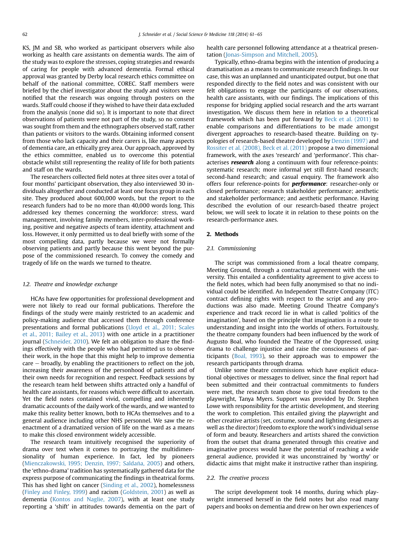KS, JM and SB, who worked as participant observers while also working as health care assistants on dementia wards. The aim of the study was to explore the stresses, coping strategies and rewards of caring for people with advanced dementia. Formal ethical approval was granted by Derby local research ethics committee on behalf of the national committee, COREC. Staff members were briefed by the chief investigator about the study and visitors were notified that the research was ongoing through posters on the wards. Staff could choose if they wished to have their data excluded from the analysis (none did so). It is important to note that direct observations of patients were not part of the study, so no consent was sought from them and the ethnographers observed staff, rather than patients or visitors to the wards. Obtaining informed consent from those who lack capacity and their carers is, like many aspects of dementia care, an ethically grey area. Our approach, approved by the ethics committee, enabled us to overcome this potential obstacle whilst still representing the reality of life for both patients and staff on the wards.

The researchers collected field notes at three sites over a total of four months' participant observation, they also interviewed 30 individuals altogether and conducted at least one focus group in each site. They produced about 600,000 words, but the report to the research funders had to be no more than 40,000 words long. This addressed key themes concerning the workforce: stress, ward management, involving family members, inter-professional working, positive and negative aspects of team identity, attachment and loss. However, it only permitted us to deal briefly with some of the most compelling data, partly because we were not formally observing patients and partly because this went beyond the purpose of the commissioned research. To convey the comedy and tragedy of life on the wards we turned to theatre.

#### 1.2. Theatre and knowledge exchange

HCAs have few opportunities for professional development and were not likely to read our formal publications. Therefore the findings of the study were mainly restricted to an academic and policy-making audience that accessed them through conference presentations and formal publications (Lloyd et al., 2011; Scales et al., 2011; Bailey et al., 2013) with one article in a practitioner journal (Schneider, 2010). We felt an obligation to share the findings effectively with the people who had permitted us to observe their work, in the hope that this might help to improve dementia  $care - broadly, by enabling the practitioners to reflect on the job,$ increasing their awareness of the personhood of patients and of their own needs for recognition and respect. Feedback sessions by the research team held between shifts attracted only a handful of health care assistants, for reasons which were difficult to ascertain. Yet the field notes contained vivid, compelling and inherently dramatic accounts of the daily work of the wards, and we wanted to make this reality better known, both to HCAs themselves and to a general audience including other NHS personnel. We saw the reenactment of a dramatized version of life on the ward as a means to make this closed environment widely accessible.

The research team intuitively recognised the superiority of drama over text when it comes to portraying the multidimensionality of human experience. In fact, led by pioneers (Mienczakowski, 1995; Denzin, 1997; Saldaña, 2005) and others, the 'ethno-drama' tradition has systematically gathered data for the express purpose of communicating the findings in theatrical forms. This has shed light on cancer (Sinding et al., 2002), homelessness (Finley and Finley, 1999) and racism (Goldstein, 2001) as well as dementia (Kontos and Naglie, 2007), with at least one study reporting a 'shift' in attitudes towards dementia on the part of health care personnel following attendance at a theatrical presentation (Jonas-Simpson and Mitchell, 2005).

Typically, ethno-drama begins with the intention of producing a dramatisation as a means to communicate research findings. In our case, this was an unplanned and unanticipated output, but one that responded directly to the field notes and was consistent with our felt obligations to engage the participants of our observations, health care assistants, with our findings. The implications of this response for bridging applied social research and the arts warrant investigation. We discuss them here in relation to a theoretical framework which has been put forward by Beck et al. (2011) to enable comparisons and differentiations to be made amongst divergent approaches to research-based theatre. Building on typologies of research-based theatre developed by Denzin (1997) and Rossiter et al. (2008), Beck et al. (2011) propose a two dimensional framework, with the axes 'research' and 'performance'. This characterises **research** along a continuum with four reference-points: systematic research; more informal yet still first-hand research; second-hand research; and casual enquiry. The framework also offers four reference-points for *performance*: researcher-only or closed performance; research stakeholder performance; aesthetic and stakeholder performance; and aesthetic performance. Having described the evolution of our research-based theatre project below, we will seek to locate it in relation to these points on the research-performance axes.

#### 2. Methods

#### 2.1. Commissioning

The script was commissioned from a local theatre company, Meeting Ground, through a contractual agreement with the university. This entailed a confidentiality agreement to give access to the field notes, which had been fully anonymised so that no individual could be identified. An Independent Theatre Company (ITC) contract defining rights with respect to the script and any productions was also made. Meeting Ground Theatre Company's experience and track record lie in what is called 'politics of the imagination', based on the principle that imagination is a route to understanding and insight into the worlds of others. Fortuitously, the theatre company founders had been influenced by the work of Augusto Boal, who founded the Theatre of the Oppressed, using drama to challenge injustice and raise the consciousness of participants (Boal, 1993), so their approach was to empower the research participants through drama.

Unlike some theatre commissions which have explicit educational objectives or messages to deliver, since the final report had been submitted and their contractual commitments to funders were met, the research team chose to give total freedom to the playwright, Tanya Myers. Support was provided by Dr. Stephen Lowe with responsibility for the artistic development, and steering the work to completion. This entailed giving the playwright and other creative artists (set, costume, sound and lighting designers as well as the director) freedom to explore the work's individual sense of form and beauty. Researchers and artists shared the conviction from the outset that drama generated through this creative and imaginative process would have the potential of reaching a wide general audience, provided it was unconstrained by 'worthy' or didactic aims that might make it instructive rather than inspiring.

#### 2.2. The creative process

The script development took 14 months, during which playwright immersed herself in the field notes but also read many papers and books on dementia and drew on her own experiences of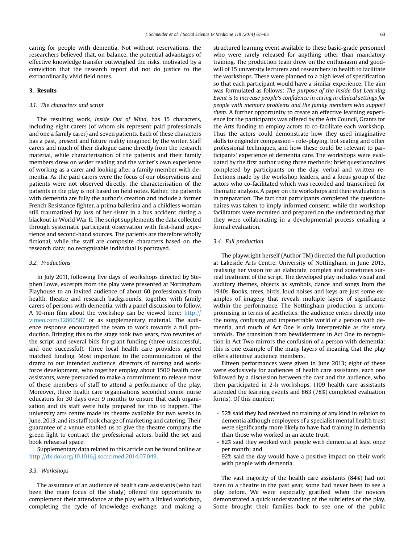caring for people with dementia. Not without reservations, the researchers believed that, on balance, the potential advantages of effective knowledge transfer outweighed the risks, motivated by a conviction that the research report did not do justice to the extraordinarily vivid field notes.

#### 3. Results

#### 3.1. The characters and script

The resulting work, Inside Out of Mind, has 15 characters, including eight carers (of whom six represent paid professionals and one a family carer) and seven patients. Each of these characters has a past, present and future reality imagined by the writer. Staff carers and much of their dialogue came directly from the research material, while characterisation of the patients and their family members drew on wider reading and the writer's own experience of working as a carer and looking after a family member with dementia. As the paid carers were the focus of our observations and patients were not observed directly, the characterisation of the patients in the play is not based on field notes. Rather, the patients with dementia are fully the author's creation and include a former French Resistance fighter, a prima ballerina and a childless woman still traumatized by loss of her sister in a bus accident during a blackout in World War II. The script supplements the data collected through systematic participant observation with first-hand experience and second-hand sources. The patients are therefore wholly fictional, while the staff are composite characters based on the research data; no recognisable individual is portrayed.

#### 3.2. Productions

In July 2011, following five days of workshops directed by Stephen Lowe, excerpts from the play were presented at Nottingham Playhouse to an invited audience of about 60 professionals from health, theatre and research backgrounds, together with family carers of persons with dementia, with a panel discussion to follow. A 10-min film about the workshop can be viewed here: [http://](http://vimeo.com/32860587) [vimeo.com/32860587](http://vimeo.com/32860587) or as supplementary material. The audience response encouraged the team to work towards a full production. Bringing this to the stage took two years, two rewrites of the script and several bids for grant funding (three unsuccessful, and one successful). Three local health care providers agreed matched funding. Most important to the communication of the drama to our intended audience, directors of nursing and workforce development, who together employ about 1500 health care assistants, were persuaded to make a commitment to release most of these members of staff to attend a performance of the play. Moreover, three health care organisations seconded senior nurse educators for 30 days over 9 months to ensure that each organisation and its staff were fully prepared for this to happen. The university arts centre made its theatre available for two weeks in June, 2013, and its staff took charge of marketing and catering. Their guarantee of a venue enabled us to give the theatre company the green light to contract the professional actors, build the set and book rehearsal space.

Supplementary data related to this article can be found online at [http://dx.doi.org/10.1016/j.socscimed.2014.07.049.](http://dx.doi.org/10.1016/j.socscimed.2014.07.049)

#### 3.3. Workshops

The assurance of an audience of health care assistants (who had been the main focus of the study) offered the opportunity to complement their attendance at the play with a linked workshop, completing the cycle of knowledge exchange, and making a structured learning event available to these basic-grade personnel who were rarely released for anything other than mandatory training. The production team drew on the enthusiasm and goodwill of 15 university lecturers and researchers in health to facilitate the workshops. These were planned to a high level of specification so that each participant would have a similar experience. The aim was formulated as follows: The purpose of the Inside Out Learning Event is to increase people's confidence in caring in clinical settings for people with memory problems and the family members who support them. A further opportunity to create an effective learning experience for the participants was offered by the Arts Council, Grants for the Arts funding to employ actors to co-facilitate each workshop. Thus the actors could demonstrate how they used imaginative skills to engender compassion - role-playing, hot seating and other professional techniques, and how these could be relevant to participants' experience of dementia care. The workshops were evaluated by the first author using three methods: brief questionnaires completed by participants on the day, verbal and written reflections made by the workshop leaders, and a focus group of the actors who co-facilitated which was recorded and transcribed for thematic analysis. A paper on the workshops and their evaluation is in preparation. The fact that participants completed the questionnaires was taken to imply informed consent, while the workshop facilitators were recruited and prepared on the understanding that they were collaborating in a developmental process entailing a formal evaluation.

#### 3.4. Full production

The playwright herself (Author TM) directed the full production at Lakeside Arts Centre, University of Nottingham, in June 2013, realising her vision for an elaborate, complex and sometimes surreal treatment of the script. The developed play includes visual and auditory themes, objects as symbols, dance and songs from the 1940s. Books, trees, birds, loud noises and keys are just some examples of imagery that reveals multiple layers of significance within the performance. The Nottingham production is uncompromising in terms of aesthetics: the audience enters directly into the noisy, confusing and impenetrable world of a person with dementia, and much of Act One is only interpretable as the story unfolds. The transition from bewilderment in Act One to recognition in Act Two mirrors the confusion of a person with dementia: this is one example of the many layers of meaning that the play offers attentive audience members.

Fifteen performances were given in June 2013; eight of these were exclusively for audiences of health care assistants, each one followed by a discussion between the cast and the audience, who then participated in 2-h workshops. 1109 health care assistants attended the learning events and 863 (78%) completed evaluation forms). Of this number:

- 52% said they had received no training of any kind in relation to dementia although employees of a specialist mental health trust were significantly more likely to have had training in dementia than those who worked in an acute trust;
- 82% said they worked with people with dementia at least once per month; and
- 92% said the day would have a positive impact on their work with people with dementia.

The vast majority of the health care assistants (84%) had not been to a theatre in the past year, some had never been to see a play before. We were especially gratified when the novices demonstrated a quick understanding of the subtleties of the play. Some brought their families back to see one of the public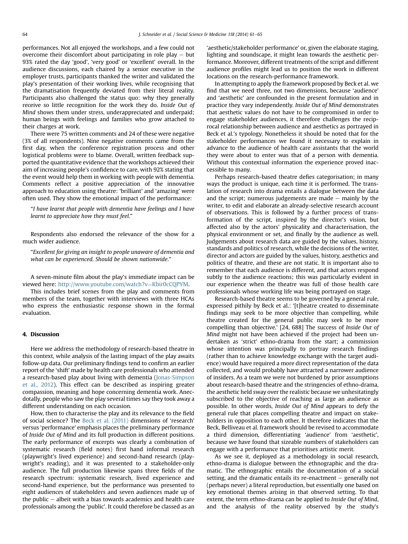performances. Not all enjoyed the workshops, and a few could not overcome their discomfort about participating in role play  $-$  but 93% rated the day 'good', 'very good' or 'excellent' overall. In the audience discussions, each chaired by a senior executive in the employer trusts, participants thanked the writer and validated the play's presentation of their working lives, while recognising that the dramatisation frequently deviated from their literal reality. Participants also challenged the status quo: why they generally receive so little recognition for the work they do. Inside Out of Mind shows them under stress, underappreciated and underpaid; human beings with feelings and families who grow attached to their charges at work.

There were 75 written comments and 24 of these were negative (3% of all respondents). Nine negative comments came from the first day, when the conference registration process and other logistical problems were to blame. Overall, written feedback supported the quantitative evidence that the workshops achieved their aim of increasing people's confidence to care, with 92% stating that the event would help them in working with people with dementia. Comments reflect a positive appreciation of the innovative approach to education using theatre: 'brilliant' and 'amazing' were often used. They show the emotional impact of the performance:

"I have learnt that people with dementia have feelings and I have learnt to appreciate how they must feel."

Respondents also endorsed the relevance of the show for a much wider audience.

"Excellent for giving an insight to people unaware of dementia and what can be experienced. Should be shown nationwide."

A seven-minute film about the play's immediate impact can be viewed here: [http://www.youtube.com/watch?v](http://www.youtube.com/watch?v=Kbir0cCQPYM)=[Kbir0cCQPYM.](http://www.youtube.com/watch?v=Kbir0cCQPYM)

This includes brief scenes from the play and comments from members of the team, together with interviews with three HCAs who express the enthusiastic response shown in the formal evaluation.

#### 4. Discussion

Here we address the methodology of research-based theatre in this context, while analysis of the lasting impact of the play awaits follow-up data. Our preliminary findings tend to confirm an earlier report of the 'shift' made by health care professionals who attended a research-based play about living with dementia (Jonas-Simpson et al., 2012). This effect can be described as inspiring greater compassion, meaning and hope concerning dementia work. Anecdotally, people who saw the play several times say they took away a different understanding on each occasion.

How, then to characterise the play and its relevance to the field of social science? The Beck et al. (2011) dimensions of 'research' versus 'performance' emphasis places the preliminary performance of Inside Out of Mind and its full production in different positions. The early performance of excerpts was clearly a combination of systematic research (field notes) first hand informal research (playwright's lived experience) and second-hand research (playwright's reading), and it was presented to a stakeholder-only audience. The full production likewise spans three fields of the research spectrum: systematic research, lived experience and second-hand experience, but the performance was presented to eight audiences of stakeholders and seven audiences made up of the public  $-$  albeit with a bias towards academics and health care professionals among the 'public'. It could therefore be classed as an 'aesthetic/stakeholder performance' or, given the elaborate staging, lighting and soundscape, it might lean towards the aesthetic performance. Moreover, different treatments of the script and different audience profiles might lead us to position the work in different locations on the research-performance framework.

In attempting to apply the framework proposed by Beck et al. we find that we need three, not two dimensions, because 'audience' and 'aesthetic' are confounded in the present formulation and in practice they vary independently. Inside Out of Mind demonstrates that aesthetic values do not have to be compromised in order to engage stakeholder audiences, it therefore challenges the reciprocal relationship between audience and aesthetics as portrayed in Beck et al.'s typology. Nonetheless it should be noted that for the stakeholder performances we found it necessary to explain in advance to the audience of health care assistants that the world they were about to enter was that of a person with dementia. Without this contextual information the experience proved inaccessible to many.

Perhaps research-based theatre defies categorisation; in many ways the product is unique, each time it is performed. The translation of research into drama entails a dialogue between the data and the script; numerous judgements are made  $-$  mainly by the writer, to edit and elaborate an already-selective research account of observations. This is followed by a further process of transformation of the script, inspired by the director's vision, but affected also by the actors' physicality and characterisation, the physical environment or set, and finally by the audience as well. Judgements about research data are guided by the values, history, standards and politics of research, while the decisions of the writer, director and actors are guided by the values, history, aesthetics and politics of theatre, and these are not static. It is important also to remember that each audience is different, and that actors respond subtly to the audience reactions; this was particularly evident in our experience when the theatre was full of those health care professionals whose working life was being portrayed on stage.

Research-based theatre seems to be governed by a general rule, expressed pithily by Beck et al.: '[t]heatre created to disseminate findings may seek to be more objective than compelling, while theatre created for the general public may seek to be more compelling than objective.' [24, 688] The success of Inside Out of Mind might not have been achieved if the project had been undertaken as 'strict' ethno-drama from the start; a commission whose intention was principally to portray research findings (rather than to achieve knowledge exchange with the target audience) would have required a more direct representation of the data collected, and would probably have attracted a narrower audience of insiders. As a team we were not burdened by prior assumptions about research-based theatre and the stringencies of ethno-drama, the aesthetic held sway over the realistic because we unhesitatingly subscribed to the objective of reaching as large an audience as possible. In other words, Inside Out of Mind appears to defy the general rule that places compelling theatre and impact on stakeholders in opposition to each other. It therefore indicates that the Beck, Belliveau et al. framework should be revised to accommodate a third dimension, differentiating 'audience' from 'aesthetic', because we have found that sizeable numbers of stakeholders can engage with a performance that prioritises artistic merit.

As we see it, deployed as a methodology in social research, ethno-drama is dialogue between the ethnographic and the dramatic. The ethnographic entails the documentation of a social setting, and the dramatic entails its re-enactment  $-$  generally not (perhaps never) a literal reproduction, but essentially one based on key emotional themes arising in that observed setting. To that extent, the term ethno-drama can be applied to Inside Out of Mind, and the analysis of the reality observed by the study's